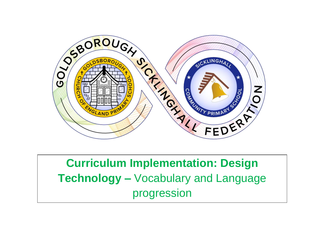

**Curriculum Implementation: Design Technology –** Vocabulary and Language progression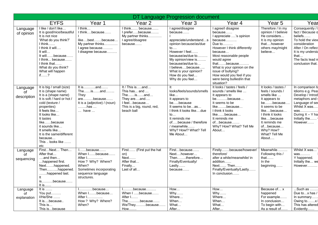| DT Language Progression document |                                                                                                                                                                                                                                                                                                            |                                                                                                                                  |                                                                                                                         |                                                                                                                                                                                                                                                                             |                                                                                                                                                                                                                                                                                                               |                                                                                                                                                                                                                               |                                                                                                                                                                               |
|----------------------------------|------------------------------------------------------------------------------------------------------------------------------------------------------------------------------------------------------------------------------------------------------------------------------------------------------------|----------------------------------------------------------------------------------------------------------------------------------|-------------------------------------------------------------------------------------------------------------------------|-----------------------------------------------------------------------------------------------------------------------------------------------------------------------------------------------------------------------------------------------------------------------------|---------------------------------------------------------------------------------------------------------------------------------------------------------------------------------------------------------------------------------------------------------------------------------------------------------------|-------------------------------------------------------------------------------------------------------------------------------------------------------------------------------------------------------------------------------|-------------------------------------------------------------------------------------------------------------------------------------------------------------------------------|
|                                  | <b>EYFS</b>                                                                                                                                                                                                                                                                                                | Year 1                                                                                                                           | Year <sub>2</sub>                                                                                                       | Year <sub>3</sub>                                                                                                                                                                                                                                                           | Year 4                                                                                                                                                                                                                                                                                                        | Year 5                                                                                                                                                                                                                        | Year                                                                                                                                                                          |
| Language<br>of opinion           | I like / don't like<br>It is good/nice/beautiful<br>It is not nice<br>'What do you think?'<br>$I$ think<br>I think it will<br>It will<br>It willbecause<br>I think because<br>I think that<br>What do you think?<br>What will happen<br>$if. \ldots. ?$                                                    | I think<br>I thinkbecause<br>likebestbecause<br>My partner thinks<br>I agree because<br>I disagree because                       | I think because<br>I preferbecause<br>My partner thinks<br>I agree/disagree<br>because                                  | I agree/disagree<br>because<br>appreciate/understands<br>opinion because/as/due<br>$\mathsf{to} \dots$<br>However I feel<br>because/as/due to<br>My opinion/view is<br>because/as/due to<br>I believebecause<br>What is your opinion?<br>How do you feel<br>Why do you feel | I agree/I disagree<br>because<br>I appreciate 's opinion<br>because<br>Due to<br>However I think differently<br>because<br>Most reasonable people<br>would agree<br>thatbecause<br>What is your opinion on the<br>issue of bullying?<br>How would you feel if you<br>were being bullied/in that<br>situation? | Therefore / In my<br>opinion / I believe<br>He considers<br>It is my opinion<br>thathowever<br>others may/might<br>believe                                                                                                    | Consequently /<br>fact / Because o<br>beliefs<br>To hold the view<br>consideration<br>After / On reflect<br>It is my understa<br>that<br>The facts lead m<br>conclusion that. |
| Language<br>οf<br>description    | It is big / small (size)<br>It is (shape name)<br>It is a (shape name)<br>It is soft / hard or hot /<br>cold (texture /<br>properties)<br>It feels like<br>It looks like<br>It tastes<br>likebecause<br>it sounds like<br>It smells like<br>It is the same/different<br>because<br>This  looks like<br>etc | It isand<br>The is and<br>They<br>arebecause<br>It is a (adjective) / (noun)<br>……has …<br>have                                  | It / This isand<br>This has and<br>Theisand<br>They areand<br>I feelbecause<br>This is a big, round, red,<br>beach ball | lt.<br>looks/feels/sounds/smells<br>like<br>It appears to<br>bebecause<br>It seems to beas<br>I think it looks likedue<br>to<br>It reminds me<br>ofbecause / therefore<br>/ meanwhile<br>Why? How/? What? Tell<br>Me About                                                  | It looks / tastes / feels /<br>sounds / smells like<br>It appears to<br>bebecause<br>It seems to be<br>likebecause<br>I think it looks<br>likebecause<br>It reminds me<br>ofbecause<br>Why? How? What? Tell Me<br>About                                                                                       | It looks / tastes /<br>feels / sounds /<br>smells like<br>It appears to<br>bebecause<br>It seems to be<br>likebecause<br>I think it looks<br>likebecause<br>It reminds me<br>ofbecause<br>Why? How?<br>What? Tell Me<br>About | In comparison to<br>Idioms e.g. Peas<br>Develop / Introd<br>metaphors and :<br>Language of sed<br>Whilst X was<br>was<br>During $X - Y$ ha<br>Initially the<br>However        |
| Language<br>οf<br>sequencing     | FirstNextThen<br>After that<br>and then<br>happened first.<br>Nexthappened.<br>Thenhappened.<br>happened last.<br>It<br>isbecause<br>It is $\dots$                                                                                                                                                         | .because<br>When Ibecause<br>After 1<br>How? Why? Where?<br>When?<br>Sometimes incorporating<br>sequence language<br>structures. | First (First put the hat<br>on)<br>Next<br>After that<br>Finally<br>Last of all                                         | Firstbecause<br>Nexthowever<br>Thentherefore<br>Finally/Eventually/<br>Lastly<br>because                                                                                                                                                                                    | Firstlybecause/however/<br>therefore/<br>after a while/meanwhile/ in<br>addition<br>$Next$ Then<br>Finally/Eventually/Lastly<br>In conclusion $\ldots$ .                                                                                                                                                      | Meanwhile<br>Following this /<br>that $\dots$<br>In the<br>beginning                                                                                                                                                          | Whilst X was<br>was<br>Y happened.<br>Initially the we<br>However                                                                                                             |
| Language<br>Ωf<br>explanation    | It is $\ldots$ .<br>You put<br>I/He/She<br>It isbecause<br>This is<br>This isbecause                                                                                                                                                                                                                       | $1, \ldots, \ldots, b$ ecause $\ldots$<br>When Ibecause<br>After 1<br>How? Why? Where?<br>When?                                  | Ibecause<br>When I because<br>After I<br>Thebecause<br>We/Theybecause<br>How                                            | How<br>Why<br>Where<br>When<br>What<br>After                                                                                                                                                                                                                                | How<br>Why<br>Where<br>When<br>What<br>After                                                                                                                                                                                                                                                                  | Because of x<br>happened<br>For example<br>In conclusion<br>To begin with<br>As a result of                                                                                                                                   | $\overline{\ldots}$ Such as $\ldots$ .<br>Due tox has /<br>In summary<br>Owing to $\dots$<br>This has altered<br>Evidently                                                    |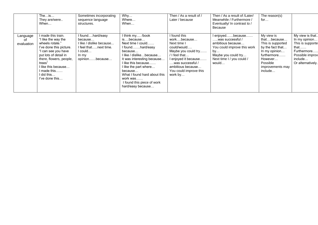|                              | Theis<br>They are/were<br>When                                                                                                                                                                                                                | Sometimes incorporating<br>sequence language<br>structures.                                                              | Why<br>Where<br>When                                                                                                                                                                                                                                                                                 | Then / As a result of /<br>Later / because                                                                                                                                                                          | Then / As a result of /Later/<br>Meanwhile / Furthermore /<br>Eventually/ In contrast to /<br><b>Because</b>                                                  | The reason(s)<br>for                                                                                                                                     |                                                                                                                                   |
|------------------------------|-----------------------------------------------------------------------------------------------------------------------------------------------------------------------------------------------------------------------------------------------|--------------------------------------------------------------------------------------------------------------------------|------------------------------------------------------------------------------------------------------------------------------------------------------------------------------------------------------------------------------------------------------------------------------------------------------|---------------------------------------------------------------------------------------------------------------------------------------------------------------------------------------------------------------------|---------------------------------------------------------------------------------------------------------------------------------------------------------------|----------------------------------------------------------------------------------------------------------------------------------------------------------|-----------------------------------------------------------------------------------------------------------------------------------|
| Language<br>0t<br>evaluation | made this train.<br>"I like the way the<br>wheels rotate."<br>I've done this picture.<br>can see you have<br>put lots of detail in<br>there, flowers, people,<br>trees"<br>I like this because<br>I made this……<br>did this<br>I've done this | I foundhard/easy<br>because<br>I like / dislike because<br>I feel thatnext time.<br>$I$ could<br>In my<br>opinionbecause | I think my /book<br>isbecause<br>Next time I could<br>I foundhard/easy<br>because<br>I like / dislikebecause<br>It was interesting because<br>I like this because<br>I like the part where<br>because<br>What I found hard about this<br>work was<br>I found this piece of work<br>hard/easy because | I found this<br>workbecause<br>Next time I<br>could/would<br>Maybe you could try<br>$/$ I feel that<br>I enjoyed it because……<br>$\dots$ was successful /<br>ambitious because<br>You could improve this<br>work by | l enjoyedbecause<br>….was successful /<br>ambitious because<br>You could improve this work<br>by<br>Maybe you could try<br>Next time I / you could /<br>would | My view is<br>thatbecause<br>This is supported<br>by the fact that<br>In my opinion<br>furthermore<br>However<br>Possible<br>improvements may<br>include | My view is that<br>In my opinion<br>This is supporte<br>that……<br>Furthermore!<br>Possible improv<br>include<br>Or alternatively. |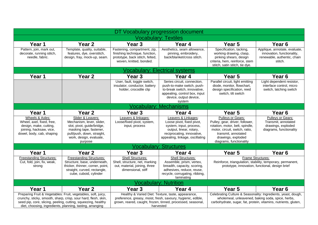| DT Vocabulary progression document                                                                                                                                                                                                                            |                                                                                                                                                                             |                                                                                                                              |                                                                                                                                                                                                                                                                                                                                                                                         |                                                                                                                                                                                                   |                                                                                                       |  |  |
|---------------------------------------------------------------------------------------------------------------------------------------------------------------------------------------------------------------------------------------------------------------|-----------------------------------------------------------------------------------------------------------------------------------------------------------------------------|------------------------------------------------------------------------------------------------------------------------------|-----------------------------------------------------------------------------------------------------------------------------------------------------------------------------------------------------------------------------------------------------------------------------------------------------------------------------------------------------------------------------------------|---------------------------------------------------------------------------------------------------------------------------------------------------------------------------------------------------|-------------------------------------------------------------------------------------------------------|--|--|
| <b>Vocabulary: Textiles</b>                                                                                                                                                                                                                                   |                                                                                                                                                                             |                                                                                                                              |                                                                                                                                                                                                                                                                                                                                                                                         |                                                                                                                                                                                                   |                                                                                                       |  |  |
| Year 1                                                                                                                                                                                                                                                        | Year <sub>2</sub>                                                                                                                                                           | Year <sub>3</sub>                                                                                                            | Year 4                                                                                                                                                                                                                                                                                                                                                                                  | Year 5                                                                                                                                                                                            | Year <sub>6</sub>                                                                                     |  |  |
| Pattern, join, mark out,<br>decorate, running stitch,<br>needle, fabric.                                                                                                                                                                                      | Template, quality, suitable,<br>features, dye, overstitch,<br>design, fray, mock-up, seam.                                                                                  | Fastening, compartment, zip,<br>finishing technique, function,<br>prototype, back stitch, felted,<br>woven, knitted, bonded. | Aesthetics, seam allowance,<br>pinning, embroidery,<br>back/blanket/cross stitch.                                                                                                                                                                                                                                                                                                       | Specification, tacking,<br>working drawing, clasp,<br>pinking shears, design<br>criteria, hem, reinforce, stem<br>stitch, satin stitch, tie dye.                                                  | Applique, annotate, evaluate,<br>innovation, functionality,<br>renewable, authentic, chain<br>stitch. |  |  |
|                                                                                                                                                                                                                                                               | <b>Vocabulary: Electrical systems</b>                                                                                                                                       |                                                                                                                              |                                                                                                                                                                                                                                                                                                                                                                                         |                                                                                                                                                                                                   |                                                                                                       |  |  |
| Year 1                                                                                                                                                                                                                                                        | Year <sub>2</sub>                                                                                                                                                           | Year <sub>3</sub>                                                                                                            | Year 4                                                                                                                                                                                                                                                                                                                                                                                  | Year 5                                                                                                                                                                                            | Year <sub>6</sub>                                                                                     |  |  |
|                                                                                                                                                                                                                                                               |                                                                                                                                                                             | User, fault, toggle switch,<br>insulator, conductor, battery<br>holder, crocodile clip                                       | Series circuit, connection,<br>push-to-make switch, push-<br>to-break switch, innovative,<br>appealing, control box, input<br>device, output device,<br>system                                                                                                                                                                                                                          | Parallel circuit, light emitting<br>diode, monitor, flowchart,<br>design specification, reed<br>switch, tilt switch                                                                               | Light dependent resistor,<br>interface control, micro<br>switch, latching switch                      |  |  |
|                                                                                                                                                                                                                                                               |                                                                                                                                                                             |                                                                                                                              | <b>Vocabulary: Mechanisms</b>                                                                                                                                                                                                                                                                                                                                                           |                                                                                                                                                                                                   |                                                                                                       |  |  |
| Year 1                                                                                                                                                                                                                                                        | Year <sub>2</sub>                                                                                                                                                           | Year <sub>3</sub>                                                                                                            | Year 4                                                                                                                                                                                                                                                                                                                                                                                  | Year 5                                                                                                                                                                                            | Year <sub>6</sub>                                                                                     |  |  |
| Wheels & Axles:<br>Wheel, axel, fixed, free,<br>design, make, cutting,<br>joining, hacksaw, vice,<br>dowel, body, cab, shaping                                                                                                                                | Slider & Leavers:<br>Mechanism, lever, slider,<br>slot, pivot, guide/bridge,<br>masking tape, fastener,<br>pull/push, down, straight,<br>work, design, evaluate,<br>purpose | Leavers & linkages:<br>Loose/fixed pivot, system,<br>input, process                                                          | Leavers & Linkages:<br>Loose pivot, fixed pivot,<br>system, input, process,<br>output, linear, rotary,<br>reciprocating, innovative,<br>appealing, linkage, oscillating                                                                                                                                                                                                                 | Pulleys or Gears:<br>Pulley, gear, driver, follower,<br>rotation, motor, belt, spindle,<br>motor, circuit, switch, ratio,<br>transmit, annotated<br>drawings, exploded<br>diagrams, functionality | Pulleys or Gears:<br>Transmit, annotated<br>drawings, exploded<br>diagrams, functionality             |  |  |
|                                                                                                                                                                                                                                                               |                                                                                                                                                                             |                                                                                                                              | <b>Vocabulary: Structures</b>                                                                                                                                                                                                                                                                                                                                                           |                                                                                                                                                                                                   |                                                                                                       |  |  |
| Year 1                                                                                                                                                                                                                                                        | Year <sub>2</sub>                                                                                                                                                           | Year <sub>3</sub>                                                                                                            | Year 4                                                                                                                                                                                                                                                                                                                                                                                  | Year 5                                                                                                                                                                                            | Year <sub>6</sub>                                                                                     |  |  |
| <b>Freestanding Structures:</b><br>Cut, fold, join, fix, weak,<br>strong                                                                                                                                                                                      | <b>Freestanding Structures:</b><br>Structure, base, underneath,<br>thicker, thinner, corner, point,<br>straight, curved, rectangle,<br>cube, cuboid, cylinder               | <b>Shell Structures:</b><br>Shell, structure, net, marking<br>out, material, joining, three<br>dimensional, stiff            | Shell Structures:<br>Assemble, prism, vertex,<br>breadth, capacity, scoring,<br>adhesives, reduce, reuse,<br>recycle, corrugating, ribbing,<br>laminating                                                                                                                                                                                                                               | <b>Frame Structures:</b><br>Reinforce, triangulation, stability, temporary, permanent,<br>prototype, innovation, functional, design brief                                                         |                                                                                                       |  |  |
| <b>Vocabulary: Nutrition</b>                                                                                                                                                                                                                                  |                                                                                                                                                                             |                                                                                                                              |                                                                                                                                                                                                                                                                                                                                                                                         |                                                                                                                                                                                                   |                                                                                                       |  |  |
| Year 1                                                                                                                                                                                                                                                        | Year <sub>2</sub>                                                                                                                                                           | Year <sub>3</sub>                                                                                                            | Year 4                                                                                                                                                                                                                                                                                                                                                                                  | Year <sub>5</sub>                                                                                                                                                                                 | Year 6                                                                                                |  |  |
| Preparing Fruit & Vegetables: Fruit, vegetables, soft, juicy,<br>crunchy, sticky, smooth, sharp, crisp, sour hard, flesh, skin,<br>seed pip, core, slicing, peeling, cutting, squeezing, healthy<br>diet, choosing, ingredients, planning, tasting, arranging |                                                                                                                                                                             |                                                                                                                              | Healthy & Varied Diet: Texture, taste, appearance,<br>Celebrating Culture & Seasonality: Ingredients, yeast, dough,<br>preference, greasy, moist, fresh, savoury, hygienic, edible,<br>wholemeal, unleavened, baking soda, spice, herbs,<br>grown, reared, caught, frozen, tinned, processed, seasonal,<br>carbohydrate, sugar, fat, protein, vitamins, nutrients, gluten,<br>harvested |                                                                                                                                                                                                   |                                                                                                       |  |  |